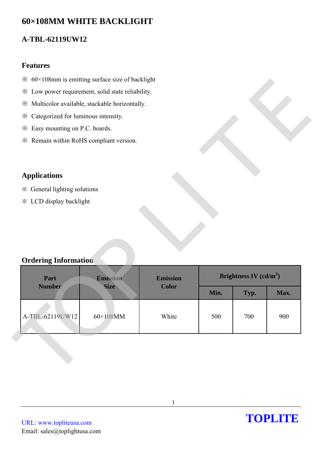# **60×108MM WHITE BACKLIGHT**

## **A-TBL-62119UW12**

### **Features**

- $\frac{1}{2}$  60×108mm is emitting surface size of backlight
- ※ Low power requirement, solid state reliability.
- ※ Multicolor available, stackable horizontally.
- ※ Categorized for luminous intensity.
- ※ Easy mounting on P.C. boards.
- ※ Remain within RoHS compliant version.

## **Applications**

## **Ordering Information**

| $\frac{3}{2}$ 60×108mm is emitting surface size of backlight |                                |                 |                          |      |      |  |  |
|--------------------------------------------------------------|--------------------------------|-----------------|--------------------------|------|------|--|--|
| * Low power requirement, solid state reliability.            |                                |                 |                          |      |      |  |  |
| ※ Multicolor available, stackable horizontally.              |                                |                 |                          |      |      |  |  |
| * Categorized for luminous intensity.                        |                                |                 |                          |      |      |  |  |
| * Easy mounting on P.C. boards.                              |                                |                 |                          |      |      |  |  |
| * Remain within RoHS compliant version.                      |                                |                 |                          |      |      |  |  |
|                                                              |                                |                 |                          |      |      |  |  |
|                                                              |                                |                 |                          |      |      |  |  |
| <b>Applications</b>                                          |                                |                 |                          |      |      |  |  |
| ※ General lighting solutions                                 |                                |                 |                          |      |      |  |  |
|                                                              | <b>※ LCD display backlight</b> |                 |                          |      |      |  |  |
|                                                              |                                |                 |                          |      |      |  |  |
|                                                              |                                |                 |                          |      |      |  |  |
|                                                              |                                |                 |                          |      |      |  |  |
| <b>Ordering Information</b>                                  |                                |                 |                          |      |      |  |  |
|                                                              |                                |                 |                          |      |      |  |  |
| Part<br>Emission                                             |                                | <b>Emission</b> | Brightness IV $(cd/m^2)$ |      |      |  |  |
| <b>Number</b>                                                | <b>Size</b>                    | <b>Color</b>    | Min.                     | Typ. | Max. |  |  |
|                                                              |                                |                 |                          |      |      |  |  |
| A-TBL-62119UW12                                              | 60×108MM                       | White           | 500                      | 700  | 900  |  |  |
|                                                              |                                |                 |                          |      |      |  |  |
|                                                              |                                |                 |                          |      |      |  |  |
|                                                              |                                |                 |                          |      |      |  |  |
|                                                              |                                |                 |                          |      |      |  |  |
|                                                              |                                |                 |                          |      |      |  |  |

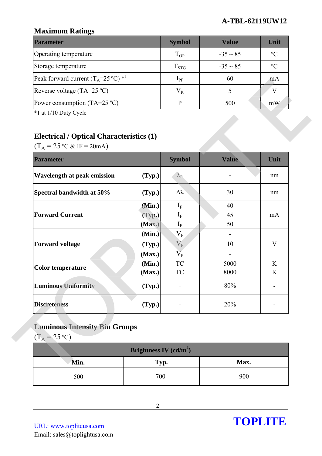### **A-TBL-62119UW12**

# **Maximum Ratings**

| <b>Parameter</b>                                        | <b>Symbol</b> | Value         | Unit          |
|---------------------------------------------------------|---------------|---------------|---------------|
| Operating temperature                                   | $T_{OP}$      | $-35 \sim 85$ | $\mathcal{C}$ |
| Storage temperature                                     | $T_{STG}$     | $-35 \sim 85$ | $\rm ^{o}C$   |
| Peak forward current $(T_A=25 \degree C)$ <sup>*1</sup> | $1_{\rm PF}$  | 60            | mA            |
| Reverse voltage (TA=25 $^{\circ}$ C)                    | $\rm V_R$     |               |               |
| Power consumption (TA=25 $^{\circ}$ C)                  |               | 500           | mW            |

# **Electrical / Optical Characteristics (1)**

| Peak forward current $(T_A=25 \degree C)$ * <sup>1</sup>                 |                            | $I_{PF}$                      | 60           | mA     |
|--------------------------------------------------------------------------|----------------------------|-------------------------------|--------------|--------|
| Reverse voltage (TA=25 °C)                                               |                            | $V_R$                         | 5            | V      |
| Power consumption (TA=25 $^{\circ}$ C)                                   |                            | $\, {\bf P}$                  | 500          | mW     |
| *1 at 1/10 Duty Cycle<br><b>Electrical / Optical Characteristics (1)</b> |                            |                               |              |        |
| $(T_A = 25 \text{ °C} \& \text{ IF} = 20 \text{ mA})$                    |                            |                               |              |        |
| <b>Parameter</b>                                                         |                            | <b>Symbol</b>                 | Value        | Unit   |
| <b>Wavelength at peak emission</b>                                       | (Typ.)                     | $\lambda_{\rm P}$             |              | nm     |
| Spectral bandwidth at 50%                                                | (Typ.)                     | $\Delta \lambda$              | 30           | nm     |
| <b>Forward Current</b>                                                   | (Min.)<br>(Typ.)           | $I_{\rm F}$<br>$I_{\rm F}$    | 40<br>45     | mA     |
|                                                                          | (Max.)<br>(Min.)           | $I_F$<br>$\rm V_F$            | 50           |        |
| <b>Forward voltage</b>                                                   | (Typ.)                     | $V_F$                         | 10           | V      |
| <b>Color temperature</b>                                                 | (Max.)<br>(Min.)<br>(Max.) | $\rm V_F$<br>${\rm TC}$<br>TC | 5000<br>8000 | K<br>K |
| <b>Luminous Uniformity</b>                                               | (Typ.)                     |                               | 80%          |        |
| <b>Discreteness</b>                                                      | (Typ.)                     |                               | 20%          |        |
| <b>Luminous Intensity Bin Groups</b><br>$(T_A = 25 \text{ °C})$          |                            |                               |              |        |
|                                                                          | Brightness IV $(cd/m^2)$   |                               |              |        |
| Min.                                                                     | Typ.                       |                               | Max.         |        |
| 500                                                                      | 700                        |                               | 900          |        |

# **Luminous Intensity Bin Groups**

| Brightness IV $(cd/m^2)$ |      |      |  |  |
|--------------------------|------|------|--|--|
| Min.                     | Typ. | Max. |  |  |
| 500                      | 700  | 900  |  |  |

URL: www.topliteusa.com Email: sales@toplightusa.com

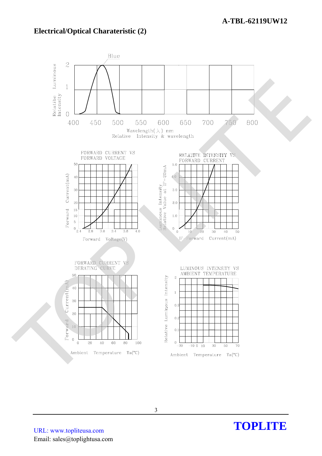### **Electrical/Optical Charateristic (2)**



**TOPLITE** 

URL: www.topliteusa.com Email: sales@toplightusa.com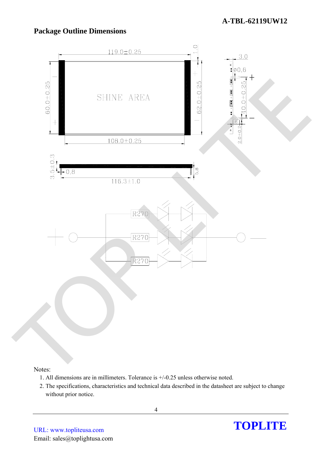# **Package Outline Dimensions**



#### Notes:

- 1. All dimensions are in millimeters. Tolerance is +/-0.25 unless otherwise noted.
- 2. The specifications, characteristics and technical data described in the datasheet are subject to change without prior notice.